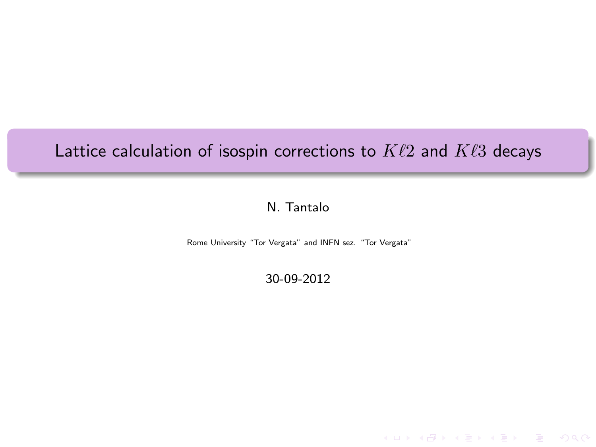# Lattice calculation of isospin corrections to  $K\ell2$  and  $K\ell3$  decays

# N. Tantalo

Rome University "Tor Vergata" and INFN sez. "Tor Vergata"

30-09-2012

**KEY KAR KERKER E YAN**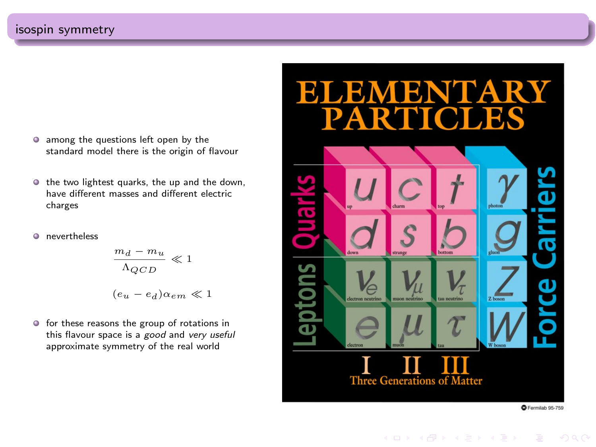- $\bullet$  among the questions left open by the standard model there is the origin of flavour
- $\bullet$  the two lightest quarks, the up and the down, have different masses and different electric charges
- **O** nevertheless

$$
\frac{m_d - m_u}{\Lambda_{QCD}} \ll 1
$$
  

$$
(e_u - e_d)\alpha_{em} \ll 1
$$

 $\bullet$  for these reasons the group of rotations in this flavour space is a good and very useful approximate symmetry of the real world



KED KAP KED KED E LOQO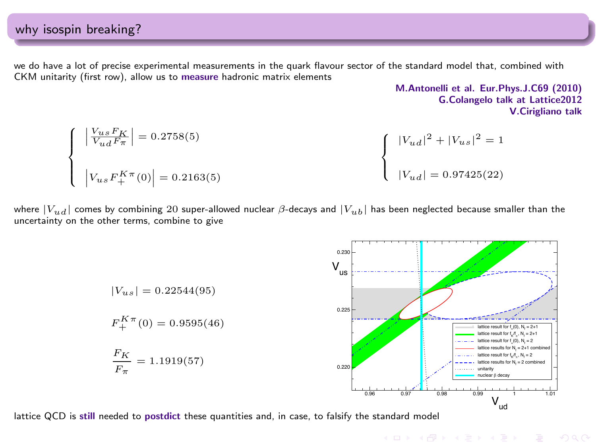we do have a lot of precise experimental measurements in the quark flavour sector of the standard model that, combined with CKM unitarity (first row), allow us to measure hadronic matrix elements

M.Antonelli et al. Eur.Phys.J.C69 (2010) G.Colangelo talk at Lattice2012 V.Cirigliano talk

$$
\begin{cases}\n\left| \frac{V_{us}F_K}{V_{ud}F_{\pi}} \right| = 0.2758(5) \\
\left| V_{us}F_{+}^{K\pi}(0) \right| = 0.2163(5)\n\end{cases}\n\qquad \qquad \begin{cases}\n\left| V_{ud} \right|^{2} + \left| V_{us} \right|^{2} = 1 \\
\left| V_{ud} \right| = 0.97425(22)\n\end{cases}
$$

where  $|V_{ud}|$  comes by combining 20 super-allowed nuclear  $\beta$ -decays and  $|V_{ub}|$  has been neglected because smaller than the uncertainty on the other terms, combine to give

> $|V_{us}| = 0.22544(95)$  $F_+^{K\pi}(0) = 0.9595(46)$  $F_K$  $\frac{\pi}{F_{\pi}}$  = 1.1919(57) 0.96 0.97 0.98 0.99 1 1.01  $V_{ud}$ 0.220 0.225 0.230 V us lattice result for  $f_*(0), N_f = 2*1$ <br>lattice result for  $f_{\sqrt{t}_n}, N_f = 2*1$  $N = 2+1$ lattice result for  $f_*(0)$ ,  $N_f = 2$ lattice results for N  $= 2+1$  combined lattice result for  $f_{\chi}/f_{\pi}$ , N<sub>f</sub> = 2 lattice results for  $N_f = 2$  combined unitarity nuclear β decay

lattice QCD is still needed to postdict these quantities and, in case, to falsify the standard model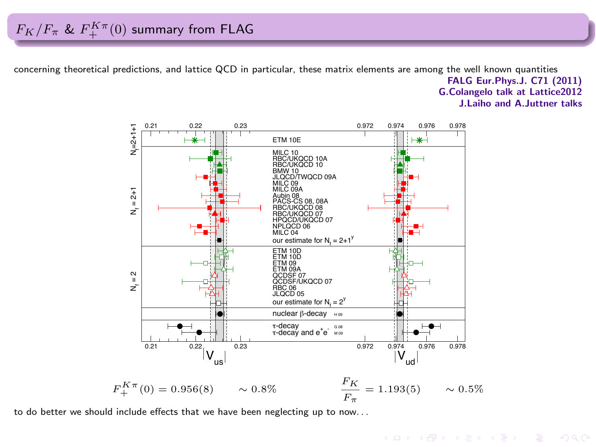concerning theoretical predictions, and lattice QCD in particular, these matrix elements are among the well known quantities FALG Eur.Phys.J. C71 (2011) G.Colangelo talk at Lattice2012

J.Laiho and A.Juttner talks



 $\ddot{r}$  + (c) = 0.000(c)  $\ddot{r}$  = 1.1.00(c)  $\ddot{r}$  = 1.1.00(c)  $\ddot{r}$  = 0.0000 to do better we should include effects that we have been neglecting up to now. . .<br>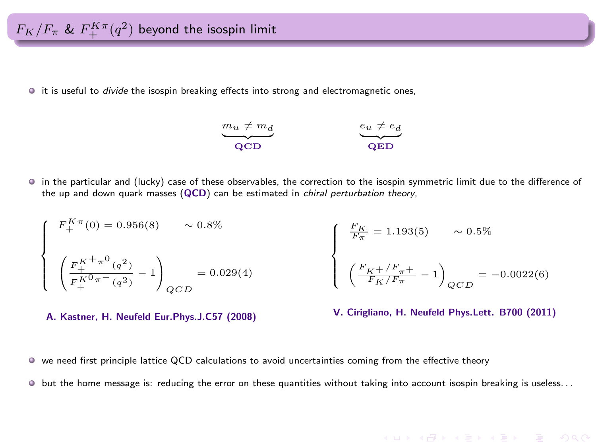$F_K/F_\pi$  &  $F_+^{K\pi}(q^2)$  beyond the isospin limit

 $\bullet$  it is useful to *divide* the isospin breaking effects into strong and electromagnetic ones,



in the particular and (lucky) case of these observables, the correction to the isospin symmetric limit due to the difference of the up and down quark masses (QCD) can be estimated in chiral perturbation theory,

$$
\left\{ \begin{array}{l} F_+^{K\pi}(0) = 0.956(8) \qquad \sim 0.8\% \\ \\ \left( \frac{F_+^{K^+\pi^0}(q^2)}{F_+^{K^0\pi^-(q^2)}} - 1 \right)_{QCD} = 0.029(4) \end{array} \right. \qquad \left\{ \begin{array}{l} \frac{F_K}{F_\pi} = 1.193(5) \qquad \sim 0.5\% \\ \\ \left( \frac{F_K^{K^+/F_\pi^+}}{F_K^{K^+/F_\pi^+}} - 1 \right)_{QCD} = -0.0022(6) \end{array} \right.
$$

A. Kastner, H. Neufeld Eur.Phys.J.C57 (2008)

V. Cirigliano, H. Neufeld Phys.Lett. B700 (2011)

**KORKARK (ERKER) EL POLO** 

we need first principle lattice QCD calculations to avoid uncertainties coming from the effective theory

 $\bullet$  but the home message is: reducing the error on these quantities without taking into account isospin breaking is useless...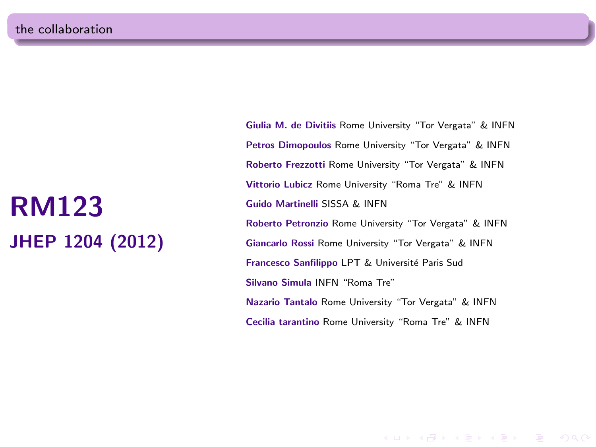# RM123 JHEP 1204 (2012)

Giulia M. de Divitiis Rome University "Tor Vergata" & INFN Petros Dimopoulos Rome University "Tor Vergata" & INFN Roberto Frezzotti Rome University "Tor Vergata" & INFN Vittorio Lubicz Rome University "Roma Tre" & INFN Guido Martinelli SISSA & INFN Roberto Petronzio Rome University "Tor Vergata" & INFN Giancarlo Rossi Rome University "Tor Vergata" & INFN Francesco Sanfilippo LPT & Université Paris Sud Silvano Simula INFN "Roma Tre" Nazario Tantalo Rome University "Tor Vergata" & INFN Cecilia tarantino Rome University "Roma Tre" & INFN

**KOD KARD KED KED E YORA**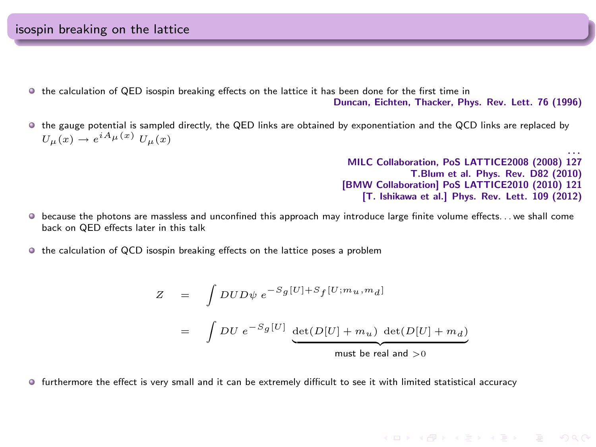- $\bullet$  the calculation of QED isospin breaking effects on the lattice it has been done for the first time in Duncan, Eichten, Thacker, Phys. Rev. Lett. 76 (1996)
- the gauge potential is sampled directly, the QED links are obtained by exponentiation and the QCD links are replaced by  $U_{\mu}(x) \rightarrow e^{iA_{\mu}(x)} U_{\mu}(x)$

. . . MILC Collaboration, PoS LATTICE2008 (2008) 127 T.Blum et al. Phys. Rev. D82 (2010) [BMW Collaboration] PoS LATTICE2010 (2010) 121 [T. Ishikawa et al.] Phys. Rev. Lett. 109 (2012)

KED KAP KED KED E VOQO

- $\bullet$  because the photons are massless and unconfined this approach may introduce large finite volume effects. . . we shall come back on QED effects later in this talk
- $\bullet$  the calculation of QCD isospin breaking effects on the lattice poses a problem

$$
Z = \int DUD\psi e^{-S_g[U]+S_f[U;m_u,m_d]}
$$
  
= 
$$
\int DU e^{-S_g[U]} \underbrace{\det(D[U]+m_u) \ \det(D[U]+m_d)}_{\text{must be real and } >0}
$$

furthermore the effect is very small and it can be extremely difficult to see it with limited statistical accuracy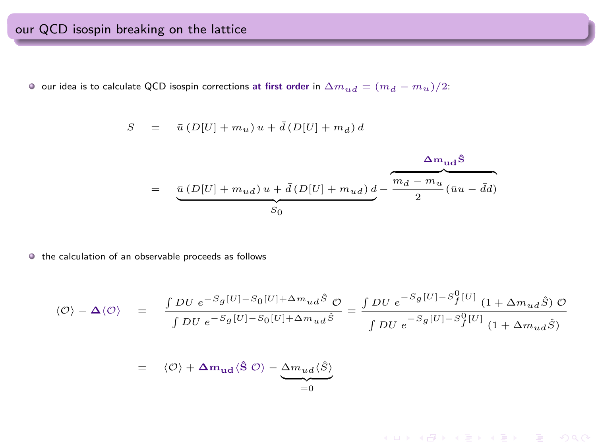$\bullet$  our idea is to calculate QCD isospin corrections at first order in  $\Delta m_{ud} = (m_d - m_u)/2$ :

$$
S \quad = \quad \bar{u} \left( D[U] + m_u \right) u + \bar{d} \left( D[U] + m_d \right) d
$$

$$
\qquad \qquad = \quad \underbrace{\bar{u}\left(D[U]+m_{ud}\right)u+\bar{d}\left(D[U]+m_{ud}\right)d}_{S_0} - \overbrace{\frac{m_d-m_u}{2}(\bar{u}u-\bar{d}d)}^{\Delta m_{ud}\bar{\bf S}}\\[2ex] \label{eq:4.10}
$$

 $\bullet$  the calculation of an observable proceeds as follows

$$
\langle \mathcal{O} \rangle - \Delta \langle \mathcal{O} \rangle = \frac{\int DU e^{-S_g[U] - S_0[U] + \Delta m_{ud}\hat{S}}}{\int DU e^{-S_g[U] - S_0[U] + \Delta m_{ud}\hat{S}}} = \frac{\int DU e^{-S_g[U] - S_f^0[U]} \left(1 + \Delta m_{ud}\hat{S}\right) \mathcal{O}}{\int DU e^{-S_g[U] - S_f^0[U]} \left(1 + \Delta m_{ud}\hat{S}\right)}
$$

$$
= \langle \mathcal{O} \rangle + \Delta m_{ud} \langle \hat{S} \mathcal{O} \rangle - \underbrace{\Delta m_{ud} \langle \hat{S} \rangle}_{=0}
$$

KID KAR KERKER E 1990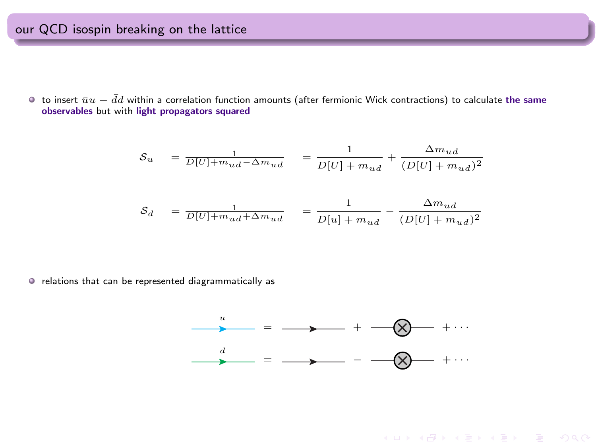$\bullet$  to insert  $\bar{u}u-\bar{d}d$  within a correlation function amounts (after fermionic Wick contractions) to calculate the same observables but with light propagators squared

$$
S_u = \frac{1}{D[U] + m_{ud} - \Delta m_{ud}} = \frac{1}{D[U] + m_{ud}} + \frac{\Delta m_{ud}}{(D[U] + m_{ud})^2}
$$
  

$$
S_d = \frac{1}{D[U] + m_{ud} + \Delta m_{ud}} = \frac{1}{D[u] + m_{ud}} - \frac{\Delta m_{ud}}{(D[U] + m_{ud})^2}
$$

 $\bullet$  relations that can be represented diagrammatically as



**KEY KAR KERKER E YAN**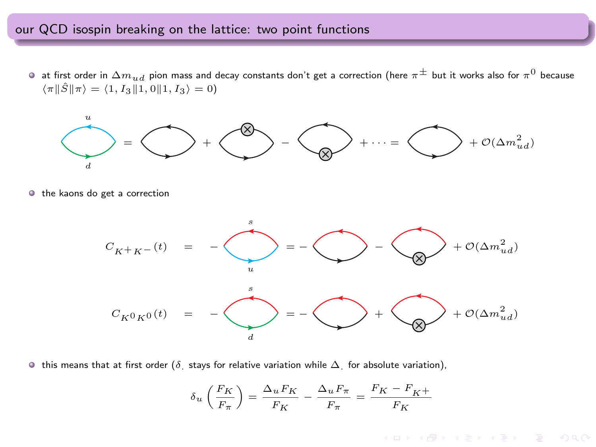### our QCD isospin breaking on the lattice: two point functions

at first order in  $\Delta m_{ud}$  pion mass and decay constants don't get a correction (here  $\pi^\pm$  but it works also for  $\pi^0$  because  $\langle \pi \| \hat{S} \| \pi \rangle = \langle 1, I_3 \| 1, 0 \| 1, I_3 \rangle = 0$ 



 $\circ$  the kaons do get a correction



 $\bullet$  this means that at first order (δ. stays for relative variation while  $\Delta$ , for absolute variation),

$$
\delta_u \left( \frac{F_K}{F_\pi} \right) = \frac{\Delta_u F_K}{F_K} - \frac{\Delta_u F_\pi}{F_\pi} = \frac{F_K - F_{K^+}}{F_K}
$$

KED KAP KED KED E LOQO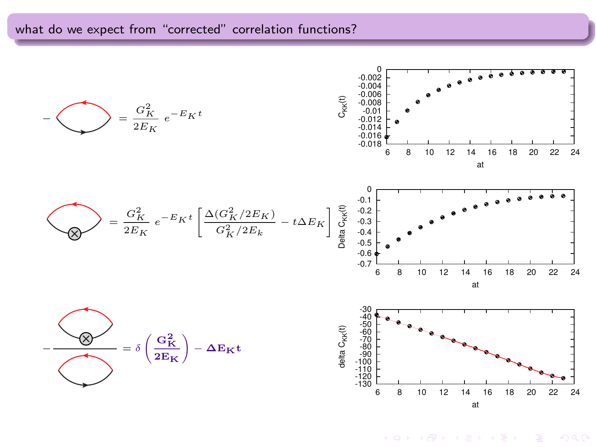# what do we expect from "corrected" correlation functions?



K ロ ▶ K @ ▶ K 할 ▶ K 할 ▶ ① 할 → ① 익 (2)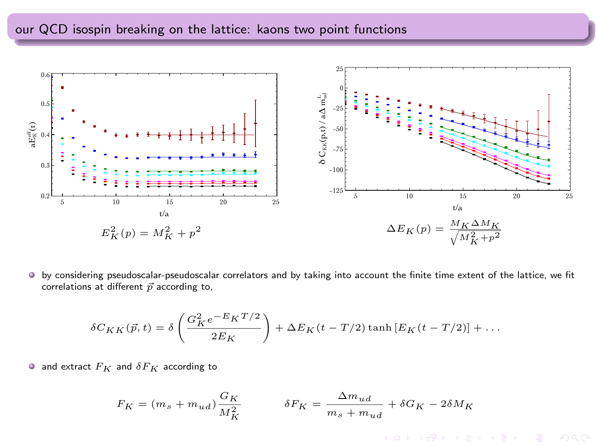# our QCD isospin breaking on the lattice: kaons two point functions



by considering pseudoscalar-pseudoscalar correlators and by taking into account the finite time extent of the lattice, we fit correlations at different  $\vec{p}$  according to,

$$
\delta C_{KK}(\vec{p},t) = \delta \left( \frac{G_K^2 e^{-E_K T/2}}{2E_K} \right) + \Delta E_K (t - T/2) \tanh \left[ E_K (t - T/2) \right] + \dots
$$

• and extract  $F_K$  and  $\delta F_K$  according to

$$
F_K = (m_s + m_{ud}) \frac{G_K}{M_K^2} \qquad \qquad \delta F_K = \frac{\Delta m_{ud}}{m_s + m_{ud}} + \delta G_K - 2 \delta M_K
$$

 $A \equiv \begin{pmatrix} 1 & 0 & 0 \\ 0 & 0 & 0 \\ 0 & 0 & 0 \\ 0 & 0 & 0 \\ 0 & 0 & 0 \\ 0 & 0 & 0 \\ 0 & 0 & 0 & 0 \\ 0 & 0 & 0 & 0 \\ 0 & 0 & 0 & 0 \\ 0 & 0 & 0 & 0 \\ 0 & 0 & 0 & 0 & 0 \\ 0 & 0 & 0 & 0 & 0 \\ 0 & 0 & 0 & 0 & 0 \\ 0 & 0 & 0 & 0 & 0 & 0 \\ 0 & 0 & 0 & 0 & 0 & 0 \\ 0 & 0 & 0 & 0 & 0 & 0 \\ 0 & 0 & 0 &$ 

 $OQ$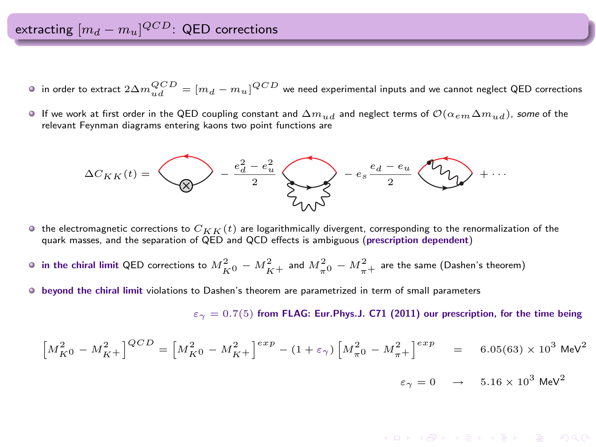extracting  $[m_d - m_u]^{QCD}$ : QED corrections

- in order to extract  $2\Delta m_{ud}^{QCD}=[m_d-m_u]^{QCD}$  we need experimental inputs and we cannot neglect QED corrections
- If we work at first order in the QED coupling constant and  $\Delta m_{ud}$  and neglect terms of  $\mathcal{O}(\alpha_{em}\Delta m_{ud})$ , some of the relevant Feynman diagrams entering kaons two point functions are



- $\bullet$  the electromagnetic corrections to  $C_{KK}(t)$  are logarithmically divergent, corresponding to the renormalization of the quark masses, and the separation of QED and QCD effects is ambiguous (prescription dependent)
- in the chiral limit QED corrections to  $M_{K0}^2 M_{K^+}^2$  and  $M_{\pi0}^2 M_{\pi+}^2$  are the same (Dashen's theorem)
- $\bullet$  beyond the chiral limit violations to Dashen's theorem are parametrized in term of small parameters

 $\varepsilon_{\gamma} = 0.7(5)$  from FLAG: Eur. Phys. J. C71 (2011) our prescription, for the time being

$$
\left[M_{K0}^{2} - M_{K+}^{2}\right]^{QCD} = \left[M_{K0}^{2} - M_{K+}^{2}\right]^{exp} - (1 + \varepsilon_{\gamma})\left[M_{\pi0}^{2} - M_{\pi+}^{2}\right]^{exp} = 6.05(63) \times 10^{3} \text{ MeV}^{2}
$$

 $\varepsilon_{\gamma} = 0 \rightarrow 5.16 \times 10^3 \text{ MeV}^2$ 

#### **KORK REPARE PROPERTY**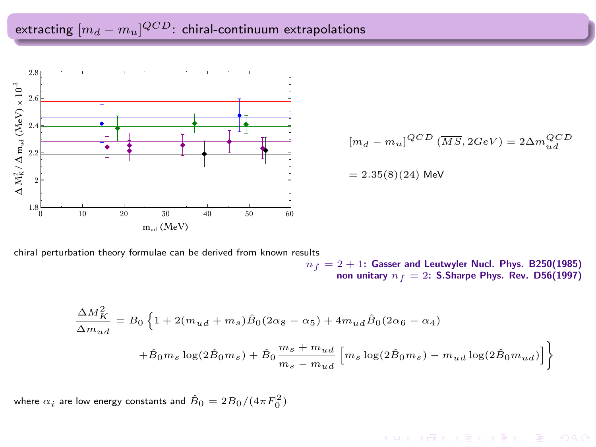# extracting  $[m_d - m_u]^{QCD}$ : chiral-continuum extrapolations



 $[m_d - m_u]^{QCD}$   $(\overline{MS}, 2GeV) = 2\Delta m_{ud}^{QCD}$ 

 $= 2.35(8)(24)$  MeV

chiral perturbation theory formulae can be derived from known results

 $n_f = 2 + 1$ : Gasser and Leutwyler Nucl. Phys. B250(1985)<br>non unitary  $n_f = 2$ : S.Sharpe Phys. Rev. D56(1997)

$$
\label{eq:11} \begin{split} \frac{\Delta M_{K}^{2}}{\Delta m_{ud}}&=B_{0}\left\{1+2(m_{ud}+m_{s})\hat{B}_{0}(2\alpha_{8}-\alpha_{5})+4m_{ud}\hat{B}_{0}(2\alpha_{6}-\alpha_{4})\right.\\ &\left.+\hat{B}_{0}m_{s}\log(2\hat{B}_{0}m_{s})+\hat{B}_{0}\frac{m_{s}+m_{ud}}{m_{s}-m_{ud}}\left[m_{s}\log(2\hat{B}_{0}m_{s})-m_{ud}\log(2\hat{B}_{0}m_{ud})\right]\right\} \end{split}
$$

where  $\alpha_i$  are low energy constants and  $\hat{B}_0=2B_0/(4\pi F_0^2)$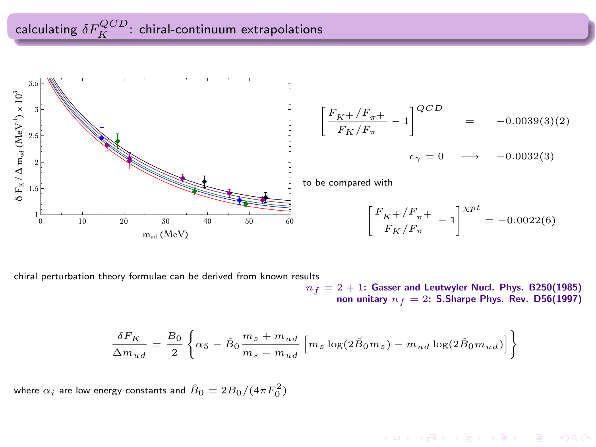calculating  $\delta F_K^{QCD}$ . chiral-continuum extrapolations



$$
\left[\frac{F_{K} + / F_{\pi} +}{F_{K}/F_{\pi}} - 1\right]^{QCD} = -0.0039(3)(2)
$$
  

$$
\epsilon_{\gamma} = 0 \longrightarrow -0.0032(3)
$$

to be compared with

$$
\left[\frac{F_{K^+}/F_{\pi^+}}{F_K/F_{\pi}} - 1\right]^{Xpt} = -0.0022(6)
$$

**KORKARK (ERKER) EL POLO** 

chiral perturbation theory formulae can be derived from known results

 $n_f = 2 + 1$ : Gasser and Leutwyler Nucl. Phys. B250(1985) non unitary  $n_f = 2$ : S.Sharpe Phys. Rev. D56(1997)

$$
\frac{\delta F_K}{\Delta m_{ud}} = \frac{B_0}{2} \left\{ \alpha_5 - \hat B_0 \frac{m_s + m_{ud}}{m_s - m_{ud}} \left[ m_s \log(2 \hat B_0 m_s) - m_{ud} \log(2 \hat B_0 m_{ud}) \right] \right\}
$$

where  $\alpha_i$  are low energy constants and  $\hat{B}_0=2B_0/(4\pi F_0^2)$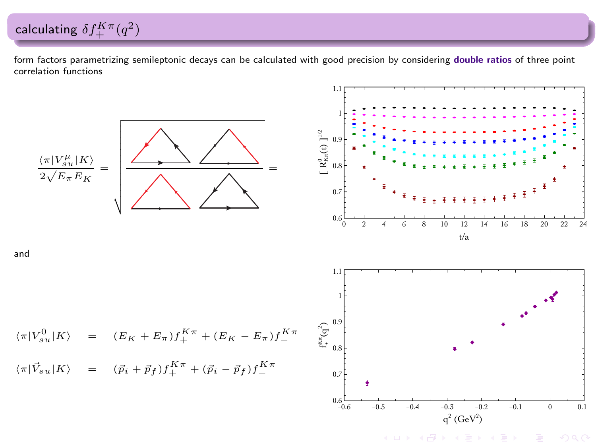form factors parametrizing semileptonic decays can be calculated with good precision by considering double ratios of three point correlation functions

calculating  $\delta f_+^{K\pi}(q^2)$ 



KORK ERKER ER AGA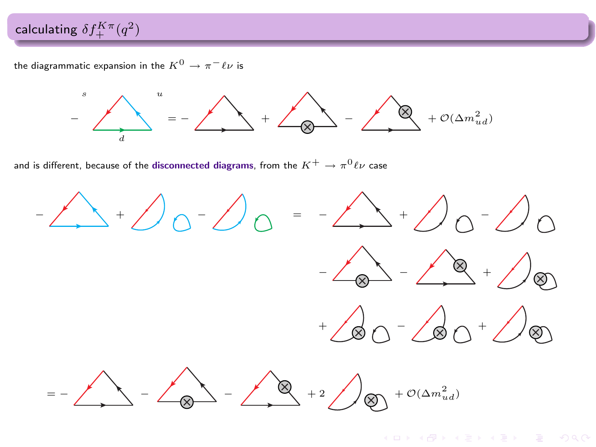# calculating  $\delta f_+^{K\pi}(q^2)$

the diagrammatic expansion in the  $K^0 \rightarrow \pi^- \ell \nu$  is



and is different, because of the **disconnected diagrams**, from the  $K^+ \rightarrow \pi^0 \ell \nu$  case

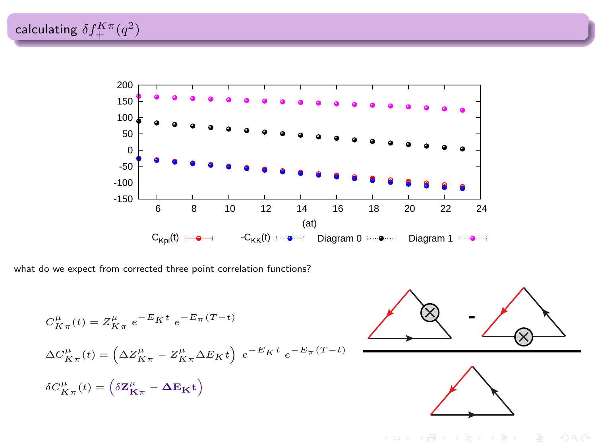calculating  $\delta f_+^{K\pi}(q^2)$ 



what do we expect from corrected three point correlation functions?

$$
\begin{split} &C_{K\pi}^{\mu}(t)=Z_{K\pi}^{\mu}\ e^{-E_{K}t}\ e^{-E_{\pi}(T-t)}\\ &\Delta C_{K\pi}^{\mu}(t)=\left(\Delta Z_{K\pi}^{\mu}-Z_{K\pi}^{\mu}\Delta E_{K}t\right)\ e^{-E_{K}t}\ e^{-E_{\pi}(T-t)}\\ &\delta C_{K\pi}^{\mu}(t)=\left(\delta \mathbf{Z}_{\mathbf{K}\pi}^{\mu}-\Delta \mathbf{E}_{\mathbf{K}}t\right) \end{split}
$$



 $OQ$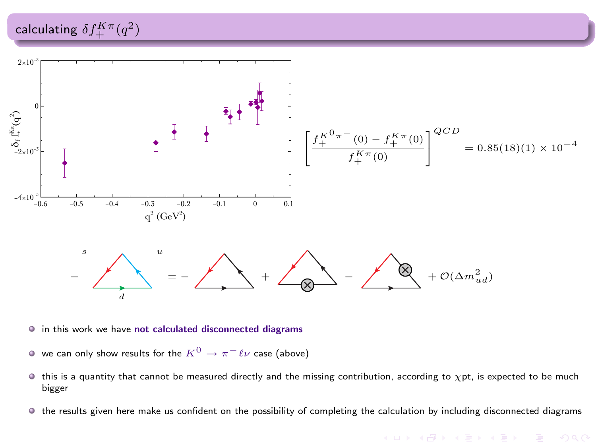

- $\bullet$  in this work we have not calculated disconnected diagrams
- $\bullet$  we can only show results for the  $K^0 \rightarrow \pi^- \ell \nu$  case (above)
- $\bullet$  this is a quantity that cannot be measured directly and the missing contribution, according to  $\chi$ pt, is expected to be much bigger
- the results given here make us confident on the possibility of completing the calculation by including disconnected diagrams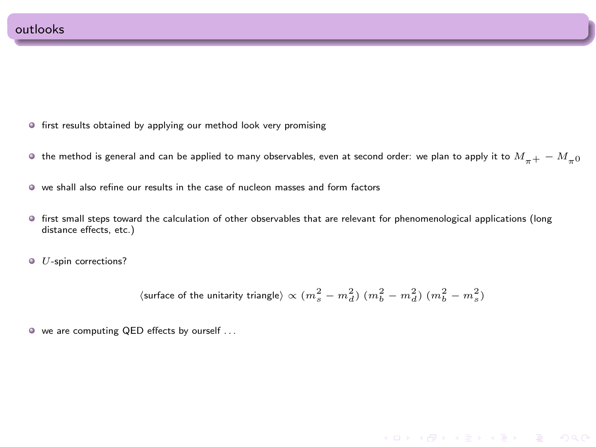- **•** first results obtained by applying our method look very promising
- $\bullet$  the method is general and can be applied to many observables, even at second order: we plan to apply it to  $M_{-+} M_{-0}$
- we shall also refine our results in the case of nucleon masses and form factors
- first small steps toward the calculation of other observables that are relevant for phenomenological applications (long distance effects, etc.)
- $\bullet$   $U$ -spin corrections?

$$
\langle
$$
 surface of the unitarity triangle  
  $\rangle$   $\propto$   $(m_s^2 - m_d^2)$   $(m_b^2 - m_d^2)$   
 $(m_b^2 - m_s^2)$ 

**KORK REPARE PROPERTY** 

we are computing QED effects by ourself . . .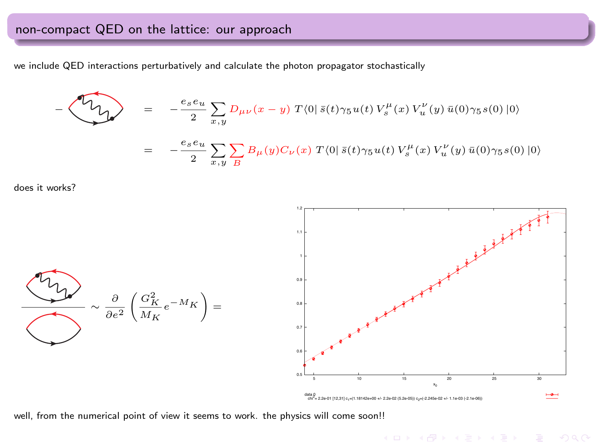# non-compact QED on the lattice: our approach

we include QED interactions perturbatively and calculate the photon propagator stochastically

$$
-\langle \overbrace{\nabla \chi} \rangle = -\frac{e_s e_u}{2} \sum_{x,y} D_{\mu\nu}(x-y) T\langle 0| \bar{s}(t) \gamma_5 u(t) V_s^{\mu}(x) V_u^{\nu}(y) \bar{u}(0) \gamma_5 s(0) |0\rangle
$$
  

$$
= -\frac{e_s e_u}{2} \sum_{x,y} \sum_{B} B_{\mu}(y) C_{\nu}(x) T\langle 0| \bar{s}(t) \gamma_5 u(t) V_s^{\mu}(x) V_u^{\nu}(y) \bar{u}(0) \gamma_5 s(0) |0\rangle
$$

does it works?





well, from the numerical point of view it seems to work. the physics will come soon!!